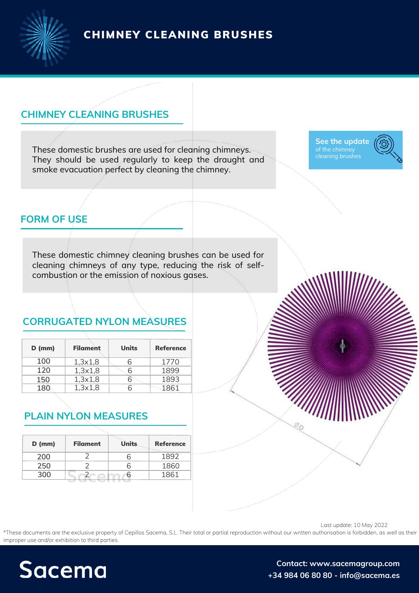CHIMNEY CLEANING BRUSHES



#### **CHIMNEY CLEANING BRUSHES**

These domestic brushes are used for cleaning chimneys. They should be used regularly to keep the draught and smoke evacuation perfect by cleaning the chimney.

**See the [update](https://sacemagroup.com/en/producto/industrial-brushes/chimney-cleaning-brushes/?utm_campaign=ficha_tecnica&utm_medium=referral&utm_source=pdf_propio&utm_content=cepillo_limpia_chimeneas&utm_term=en)** cleaning brushes



# **FORM OF USE**

These domestic chimney cleaning brushes can be used for cleaning chimneys of any type, reducing the risk of selfcombustion or the emission of noxious gases.

# **CORRUGATED NYLON MEASURES**

| $D$ (mm) | <b>Filament</b> | Units | <b>Reference</b> |
|----------|-----------------|-------|------------------|
| 100      | 1,3x1,8         |       | 1770             |
| 120      | 1,3x1,8         |       | 1899             |
| 150      | 1,3x1,8         |       | 1893             |
| 180      | 1,3x1,8         |       | 1861             |

#### **PLAIN NYLON MEASURES**

| <b>Filament</b> | <b>Units</b> | <b>Reference</b> |  |
|-----------------|--------------|------------------|--|
|                 | h            | 1892             |  |
|                 | h            | 1860             |  |
|                 |              | 1861             |  |
|                 |              |                  |  |

Last update: 10 May 2022

\*These documents are the exclusive property of Cepillos Sacema, S.L. Their total or partial reproduction without our written authorisation is forbidden, as well as their improper use and/or exhibition to third parties.



**Contact: [www.sacemagroup.com](https://sacemagroup.com/en/contact/?utm_campaign=ficha_tecnica&utm_medium=referral&utm_source=pdf_propio&utm_content=contacto&utm_term=en) +34 984 06 80 80 - info@sacema.es**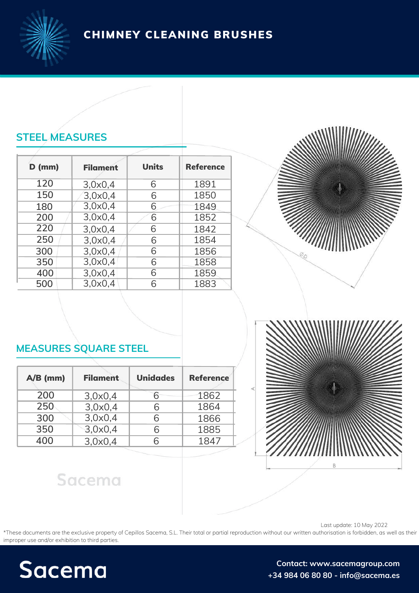CHIMNEY CLEANING BRUSHES

# **STEEL MEASURES**

| <b>Filament</b> | <b>Units</b> | <b>Reference</b> |
|-----------------|--------------|------------------|
| 3,0x0,4         | 6            | 1891             |
| 3,0x0,4         | 6            | 1850             |
| 3,0x0,4         | 6            | 1849             |
| 3,0x0,4         | 6            | 1852             |
| 3,0x0,4         | 6            | 1842             |
| 3,0x0,4         | 6            | 1854             |
| 3.0x0.4         | 6            | 1856             |
| 3,0x0,4         | 6            | 1858             |
| 3,0x0,4         | 6            | 1859             |
| 3,0x0,4         | ൳            | 1883             |
|                 |              |                  |



### **MEASURES SQUARE STEEL**

| $A/B$ (mm) | <b>Filament</b> | <b>Unidades</b> | <b>Reference</b> |
|------------|-----------------|-----------------|------------------|
| 200        | 3,0x0,4         | 6               | 1862             |
| 250        | 3,0x0,4         | 6               | 1864             |
| 300        | 3,0x0,4         | 6               | 1866             |
| 350        | 3,0x0,4         | 6               | 1885             |
| 400        | 3,0x0,4         |                 | 1847             |



# Sacema

Last update: 10 May 2022

\*These documents are the exclusive property of Cepillos Sacema, S.L. Their total or partial reproduction without our written authorisation is forbidden, as well as their improper use and/or exhibition to third parties.



**Contact: [www.sacemagroup.com](https://sacemagroup.com/en/contact/?utm_campaign=ficha_tecnica&utm_medium=referral&utm_source=pdf_propio&utm_content=contacto&utm_term=en) +34 984 06 80 80 - info@sacema.es**